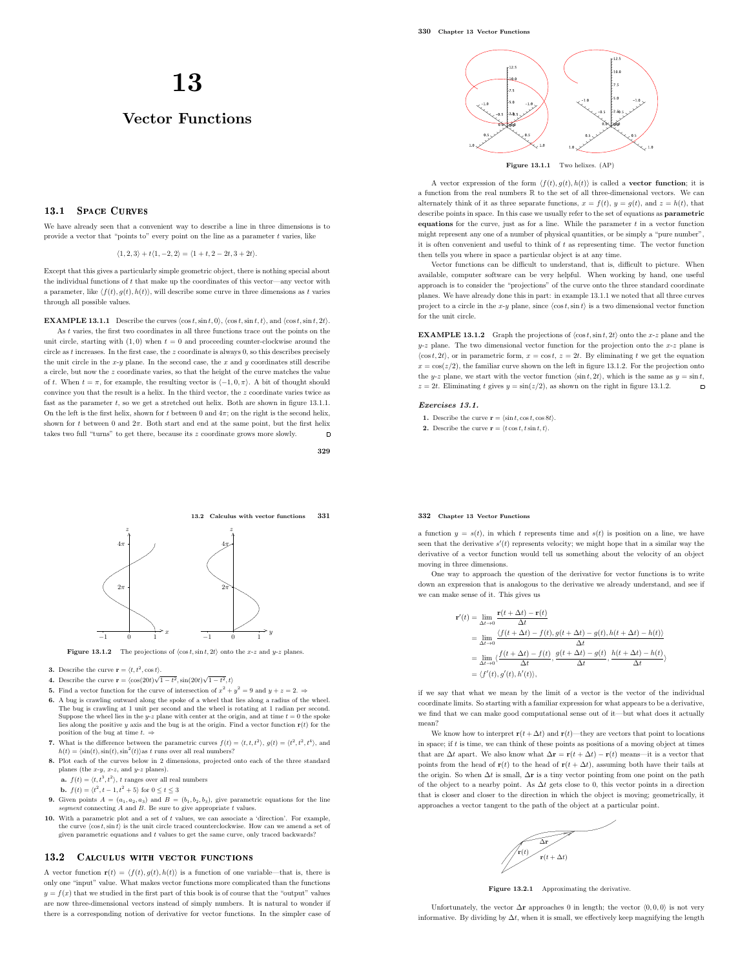# 13

# Vector Functions

# **13.1 SPACE CHRVES**

We have already seen that a convenient way to describe a line in three dimensions is to provide a vector that "points to" every point on the line as a parameter  $t$  varies, like

 $\langle 1, 2, 3 \rangle + t \langle 1, -2, 2 \rangle = \langle 1 + t, 2 - 2t, 3 + 2t \rangle.$ 

Except that this gives a particularly simple geometric object, there is nothing special about the individual functions of  $t$  that make up the coordinates of this vector—any vector with a parameter, like  $\langle f(t), g(t), h(t) \rangle$ , will describe some curve in three dimensions as t varies through all possible values.

**EXAMPLE 13.1.1** Describe the curves  $\langle \cos t, \sin t, 0 \rangle$ ,  $\langle \cos t, \sin t, t \rangle$ , and  $\langle \cos t, \sin t, 2t \rangle$ . As t varies, the first two coordinates in all three functions trace out the points on the unit circle, starting with  $(1, 0)$  when  $t = 0$  and proceeding counter-clockwise around the circle as t increases. In the first case, the z coordinate is always 0, so this describes precisely the unit circle in the  $x-y$  plane. In the second case, the  $x$  and  $y$  coordinates still describe a circle, but now the z coordinate varies, so that the height of the curve matches the value of t. When  $t = \pi$ , for example, the resulting vector is  $\langle -1, 0, \pi \rangle$ . A bit of thought should convince you that the result is a helix. In the third vector, the z coordinate varies twice as fast as the parameter  $t$ , so we get a stretched out helix. Both are shown in figure 13.1.1. On the left is the first helix, shown for t between 0 and  $4\pi$ ; on the right is the second helix. shown for t between 0 and  $2\pi$ . Both start and end at the same point, but the first helix takes two full "turns" to get there, because its z coordinate grows more slowly.  $\Box$ 

329



Figure 13.1.2 The projections of  $\langle \cos t, \sin t, 2t \rangle$  onto the x-z and y-z planes.

- **3.** Describe the curve  $\mathbf{r} = \langle t, t^2, \cos t \rangle$ .
- **4.** Describe the curve  $\mathbf{r} = \langle \cos(20t)\sqrt{1-t^2}, \sin(20t)\sqrt{1-t^2}, t \rangle$
- **5.** Find a vector function for the curve of intersection of  $x^2 + y^2 = 9$  and  $y + z = 2$ .
- 6. A bug is crawling outward along the spoke of a wheel that lies along a radius of the wheel. The bug is crawling at 1 unit per second and the wheel is rotating at 1 radian per second.<br>Suppose the wheel lies in the y-z plane with center at the origin, and at time  $t = 0$  the spoke lies along the positive y axis and the bug is at the origin. Find a vector function  $r(t)$  for the position of the bug at time  $t.$   $\Rightarrow$
- 7. What is the difference between the parametric curves  $f(t) = \langle t, t, t^2 \rangle$ ,  $g(t) = \langle t^2, t^2, t^4 \rangle$ , and  $h(t) = \langle \sin(t), \sin(t), \sin^2(t) \rangle$  as  $t$  runs over all real numbers?
- 8. Plot each of the curves below in 2 dimensions, projected onto each of the three standard planes (the  $x-y$ ,  $x-z$ , and  $y-z$  planes).
	- **a.**  $f(t) = \langle t, t^3, t^2 \rangle$ , t ranges over all real numbers
	- **b.**  $f(t) = \langle t^2, t 1, t^2 + 5 \rangle$  for  $0 \le t \le 3$
- **9.** Given points  $A = (a_1, a_2, a_3)$  and  $B = (b_1, b_2, b_3)$ , give parametric equations for the line *segment* connecting A and B. Be sure to give appropriate t values.
- 10. With a parametric plot and a set of t values, we can associate a 'direction'. For example, the curve  $\langle \cos t, \sin t \rangle$  is the unit circle traced counterclockwise. How can we amend a set of given parametric equations and t values to get the same curve, only traced backwards?

# 13.2 CALCULUS WITH VECTOR FUNCTIONS

A vector function  $\mathbf{r}(t) = \langle f(t), g(t), h(t) \rangle$  is a function of one variable—that is, there is only one "input" value. What makes vector functions more complicated than the functions  $y = f(x)$  that we studied in the first part of this book is of course that the "output" values are now three-dimensional vectors instead of simply numbers. It is natural to wonder if there is a corresponding notion of derivative for vector functions. In the simpler case of



Figure 13.1.1 Two helixes. (AP)

A vector expression of the form  $\langle f(t), g(t), h(t) \rangle$  is called a **vector function**; it is a function from the real numbers R to the set of all three-dimensional vectors. We can alternately think of it as three separate functions,  $x = f(t)$ ,  $y = g(t)$ , and  $z = h(t)$ , that describe points in space. In this case we usually refer to the set of equations as parametric equations for the curve, just as for a line. While the parameter  $t$  in a vector function might represent any one of a number of physical quantities, or be simply a "pure number", it is often convenient and useful to think of  $t$  as representing time. The vector function then tells you where in space a particular object is at any time.

Vector functions can be difficult to understand, that is, difficult to picture. When available, computer software can be very helpful. When working by hand, one useful approach is to consider the "projections" of the curve onto the three standard coordinate planes. We have already done this in part: in example 13.1.1 we noted that all three curves project to a circle in the x-y plane, since  $\langle \cos t, \sin t \rangle$  is a two dimensional vector function for the unit circle.

**EXAMPLE 13.1.2** Graph the projections of  $\langle \cos t, \sin t, 2t \rangle$  onto the x-z plane and the  $y-z$  plane. The two dimensional vector function for the projection onto the  $x-z$  plane is  $\langle \cos t, 2t \rangle$ , or in parametric form,  $x = \cos t$ ,  $z = 2t$ . By eliminating t we get the equation  $x = \cos(z/2)$ , the familiar curve shown on the left in figure 13.1.2. For the projection onto the y-z plane, we start with the vector function  $\langle \sin t, 2t \rangle$ , which is the same as  $y = \sin t$ ,  $z = 2t$ . Eliminating t gives  $y = \sin(z/2)$ , as shown on the right in figure 13.1.2.  $z = 2t$ . Eliminating t gives  $y = \sin(z/2)$ , as shown on the right in figure 13.1.2.

#### Exercises 13.1.

- 1. Describe the curve  $\mathbf{r} = \langle \sin t, \cos t, \cos 8t \rangle$ .
- 2. Describe the curve  $\mathbf{r} = \langle t \cos t, t \sin t, t \rangle$ .

#### 332 Chapter 13 Vector Functions

a function  $y = s(t)$ , in which t represents time and  $s(t)$  is position on a line, we have seen that the derivative  $s'(t)$  represents velocity; we might hope that in a similar way the derivative of a vector function would tell us something about the velocity of an object moving in three dimensions.

One way to approach the question of the derivative for vector functions is to write down an expression that is analogous to the derivative we already understand, and see if we can make sense of it. This gives us

$$
\mathbf{r}'(t) = \lim_{\Delta t \to 0} \frac{\mathbf{r}(t + \Delta t) - \mathbf{r}(t)}{\Delta t}
$$
\n
$$
= \lim_{\Delta t \to 0} \frac{\langle f(t + \Delta t) - f(t), g(t + \Delta t) - g(t), h(t + \Delta t) - h(t) \rangle}{\Delta t}
$$
\n
$$
= \lim_{\Delta t \to 0} \langle \frac{f(t + \Delta t) - f(t), g(t + \Delta t) - g(t), h(t + \Delta t) - h(t)}{\Delta t} \rangle
$$
\n
$$
= \langle f'(t), g'(t), h'(t) \rangle,
$$

if we say that what we mean by the limit of a vector is the vector of the individual coordinate limits. So starting with a familiar expression for what appears to be a derivative, we find that we can make good computational sense out of it—but what does it actually mean?

We know how to interpret  $\mathbf{r}(t + \Delta t)$  and  $\mathbf{r}(t)$ —they are vectors that point to locations in space; if  $t$  is time, we can think of these points as positions of a moving object at times that are  $\Delta t$  apart. We also know what  $\Delta \mathbf{r}=\mathbf{r}(t+\Delta t)-\mathbf{r}(t)$  means—it is a vector that points from the head of  $\mathbf{r}(t)$  to the head of  $\mathbf{r}(t + \Delta t)$ , assuming both have their tails at the origin. So when  $\Delta t$  is small,  $\Delta \mathbf{r}$  is a tiny vector pointing from one point on the path of the object to a nearby point. As ∆t gets close to 0, this vector points in a direction that is closer and closer to the direction in which the object is moving; geometrically, it approaches a vector tangent to the path of the object at a particular point.

. ...................................................................................................................................................................... ......  $\sqrt{\mathbf{r}(t)} = \frac{\Delta \mathbf{r}}{\mathbf{r}(t+\Delta t)}$  $\mathbf{r}(t)$ ∆r  $\mathbf{r}(t+\Delta t)$ .  $\sqrt{2r}$ 

Figure 13.2.1 Approximating the derivative.

Unfortunately, the vector  $\Delta$ **r** approaches 0 in length; the vector  $\langle 0, 0, 0 \rangle$  is not very informative. By dividing by  $\Delta t$ , when it is small, we effectively keep magnifying the length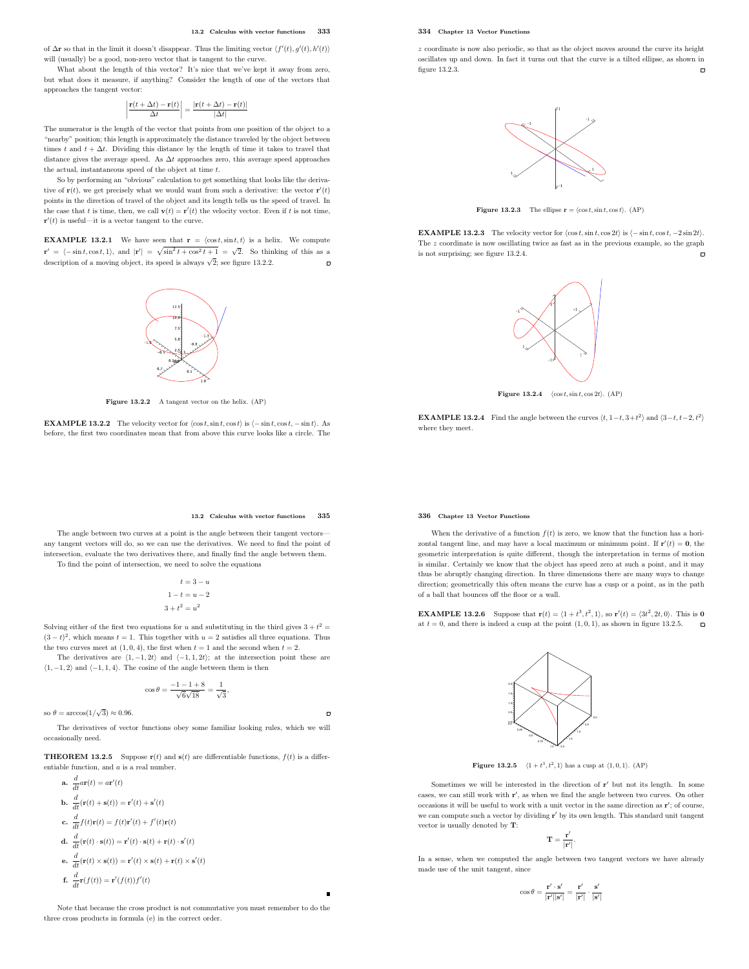of  $\Delta$ **r** so that in the limit it doesn't disappear. Thus the limiting vector  $\langle f'(t), g'(t), h'(t) \rangle$ will (usually) be a good, non-zero vector that is tangent to the curve.

What about the length of this vector? It's nice that we've kept it away from zero, but what does it measure, if anything? Consider the length of one of the vectors that approaches the tangent vector:

$$
\left|\frac{\mathbf{r}(t+\Delta t)-\mathbf{r}(t)}{\Delta t}\right|=\frac{|\mathbf{r}(t+\Delta t)-\mathbf{r}(t)|}{|\Delta t|}
$$

The numerator is the length of the vector that points from one position of the object to a "nearby" position; this length is approximately the distance traveled by the object between times t and  $t + \Delta t$ . Dividing this distance by the length of time it takes to travel that distance gives the average speed. As  $\Delta t$  approaches zero, this average speed approaches the actual, instantaneous speed of the object at time  $t$ .

So by performing an "obvious" calculation to get something that looks like the derivative of  $\mathbf{r}(t)$ , we get precisely what we would want from such a derivative: the vector  $\mathbf{r}'(t)$ points in the direction of travel of the object and its length tells us the speed of travel. In the case that t is time, then, we call  $\mathbf{v}(t) = \mathbf{r}'(t)$  the velocity vector. Even if t is not time,  $\mathbf{r}'(t)$  is useful—it is a vector tangent to the curve.

**EXAMPLE 13.2.1** We have seen that  $\mathbf{r} = \langle \cos t, \sin t, t \rangle$  is a helix. We compute  $\mathbf{r}' = \langle -\sin t, \cos t, 1 \rangle$ , and  $|\mathbf{r}'| = \sqrt{\sin^2 t + \cos^2 t + 1} = \sqrt{2}$ . So thinking of this as a description of a moving object, its speed is always  $\sqrt{2}$ ; see figure 13.2.2.  $\overline{a}$ 



Figure 13.2.2 A tangent vector on the helix. (AP)

**EXAMPLE 13.2.2** The velocity vector for  $\langle \cos t, \sin t, \cos t \rangle$  is  $\langle -\sin t, \cos t, -\sin t \rangle$ . As before, the first two coordinates mean that from above this curve looks like a circle. The

# 334 Chapter 13 Vector Functions

z coordinate is now also periodic, so that as the object moves around the curve its height oscillates up and down. In fact it turns out that the curve is a tilted ellipse, as shown in figure 13.2.3.  $\overline{a}$ 



**Figure 13.2.3** The ellipse  $\mathbf{r} = \langle \cos t, \sin t, \cos t \rangle$ . (AP)

**EXAMPLE 13.2.3** The velocity vector for  $\langle \cos t, \sin t, \cos 2t \rangle$  is  $\langle -\sin t, \cos t, -2 \sin 2t \rangle$ . The z coordinate is now oscillating twice as fast as in the previous example, so the graph is not surprising; see figure 13.2.4.  $\overline{a}$ 



Figure 13.2.4  $\langle \cos t, \sin t, \cos 2t \rangle$ . (AP)

**EXAMPLE 13.2.4** Find the angle between the curves  $\langle t, 1-t, 3+t^2 \rangle$  and  $\langle 3-t, t-2, t^2 \rangle$ where they meet.

#### 336 Chapter 13 Vector Functions

 $\overline{a}$ 

When the derivative of a function  $f(t)$  is zero, we know that the function has a horizontal tangent line, and may have a local maximum or minimum point. If  $\mathbf{r}'(t) = \mathbf{0}$ , the geometric interpretation is quite different, though the interpretation in terms of motion is similar. Certainly we know that the object has speed zero at such a point, and it may thus be abruptly changing direction. In three dimensions there are many ways to change direction; geometrically this often means the curve has a cusp or a point, as in the path of a ball that bounces off the floor or a wall.

**EXAMPLE 13.2.6** Suppose that  $\mathbf{r}(t) = \langle 1 + t^3, t^2, 1 \rangle$ , so  $\mathbf{r}'(t) = \langle 3t^2, 2t, 0 \rangle$ . This is **0** at  $t = 0$ , and there is indeed a cusp at the point  $(1, 0, 1)$ , as shown in figure 13.2.5.



Figure 13.2.5  $\langle 1 + t^3, t^2, 1 \rangle$  has a cusp at  $\langle 1, 0, 1 \rangle$ . (AP)

Sometimes we will be interested in the direction of  $r'$  but not its length. In some cases, we can still work with r ′ , as when we find the angle between two curves. On other occasions it will be useful to work with a unit vector in the same direction as  $\mathbf{r}'$ ; of course, we can compute such a vector by dividing **r'** by its own length. This standard unit tangent vector is usually denoted by T:

$$
\mathbf{T}=\frac{\mathbf{r}'}{|\mathbf{r}'|}.
$$

In a sense, when we computed the angle between two tangent vectors we have already made use of the unit tangent, since

$$
\cos\theta = \frac{\mathbf{r}'\cdot\mathbf{s}'}{|\mathbf{r}'||\mathbf{s}'|} = \frac{\mathbf{r}'}{|\mathbf{r}'|}\cdot\frac{\mathbf{s}'}{|\mathbf{s}'|}
$$

#### 13.2 Calculus with vector functions 335

The angle between two curves at a point is the angle between their tangent vectors any tangent vectors will do, so we can use the derivatives. We need to find the point of intersection, evaluate the two derivatives there, and finally find the angle between them. To find the point of intersection, we need to solve the equations

$$
t = 3 - u
$$

$$
1 - t = u - 2
$$

$$
3 + t2 = u2
$$

Solving either of the first two equations for u and substituting in the third gives  $3 + t^2 =$  $(3-t)^2$ , which means  $t=1$ . This together with  $u=2$  satisfies all three equations. Thus the two curves meet at  $(1, 0, 4)$ , the first when  $t = 1$  and the second when  $t = 2$ .

The derivatives are  $(1, -1, 2t)$  and  $(-1, 1, 2t)$ ; at the intersection point these are  $\langle 1, -1, 2 \rangle$  and  $\langle -1, 1, 4 \rangle$ . The cosine of the angle between them is then

$$
\cos \theta = \frac{-1 - 1 + 8}{\sqrt{6}\sqrt{18}} = \frac{1}{\sqrt{3}},
$$

so  $\theta = \arccos(1/\sqrt{3}) \approx 0.96$ .

The derivatives of vector functions obey some familiar looking rules, which we will occasionally need.

**THEOREM 13.2.5** Suppose  $\mathbf{r}(t)$  and  $\mathbf{s}(t)$  are differentiable functions,  $f(t)$  is a differentiable function, and a is a real number.

$$
a. \frac{d}{dt} a \mathbf{r}(t) = a \mathbf{r}'(t)
$$

d

- **b.**  $\frac{d}{dt}(\mathbf{r}(t) + \mathbf{s}(t)) = \mathbf{r}'(t) + \mathbf{s}'(t)$
- c.  $\frac{d}{dt}f(t)\mathbf{r}(t) = f(t)\mathbf{r}'(t) + f'(t)\mathbf{r}(t)$
- **d.**  $\frac{d}{dt}(\mathbf{r}(t) \cdot \mathbf{s}(t)) = \mathbf{r}'(t) \cdot \mathbf{s}(t) + \mathbf{r}(t) \cdot \mathbf{s}'(t)$
- **e.**  $\frac{d}{dt}(\mathbf{r}(t) \times \mathbf{s}(t)) = \mathbf{r}'(t) \times \mathbf{s}(t) + \mathbf{r}(t) \times \mathbf{s}'(t)$
- **f.**  $\frac{d}{dt}\mathbf{r}(f(t)) = \mathbf{r}'(f(t))f'(t)$

Note that because the cross product is not commutative you must remember to do the three cross products in formula (e) in the correct order.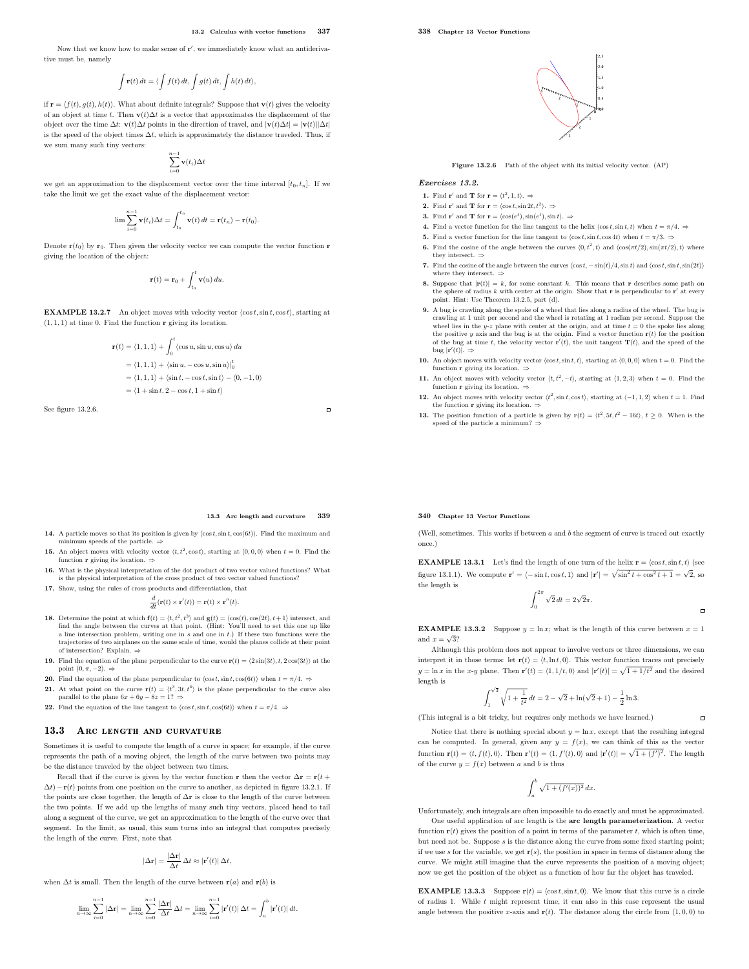Now that we know how to make sense of  $\mathbf{r}'$ , we immediately know what an antiderivative must be, namely

$$
\int \mathbf{r}(t) dt = \langle \int f(t) dt, \int g(t) dt, \int h(t) dt \rangle,
$$

if  $\mathbf{r} = \langle f(t), g(t), h(t) \rangle$ . What about definite integrals? Suppose that  $\mathbf{v}(t)$  gives the velocity of an object at time t. Then  $\mathbf{v}(t)\Delta t$  is a vector that approximates the displacement of the object over the time  $\Delta t$ :  $\mathbf{v}(t)\Delta t$  points in the direction of travel, and  $|\mathbf{v}(t)\Delta t| = |\mathbf{v}(t)||\Delta t|$ is the speed of the object times  $\Delta t$ , which is approximately the distance traveled. Thus, if we sum many such tiny vectors:

$$
\sum_{i=0}^{n-1}\mathbf{v}(t_i)\Delta t
$$

we get an approximation to the displacement vector over the time interval  $[t_0, t_n]$ . If we take the limit we get the exact value of the displacement vector:

$$
\lim_{i=0} \sum_{i=0}^{n-1} \mathbf{v}(t_i) \Delta t = \int_{t_0}^{t_n} \mathbf{v}(t) dt = \mathbf{r}(t_n) - \mathbf{r}(t_0).
$$

Denote  $\mathbf{r}(t_0)$  by  $\mathbf{r}_0$ . Then given the velocity vector we can compute the vector function r giving the location of the object:

$$
\mathbf{r}(t) = \mathbf{r}_0 + \int_{t_0}^t \mathbf{v}(u) \, du.
$$

**EXAMPLE 13.2.7** An object moves with velocity vector  $\langle \cos t, \sin t, \cos t \rangle$ , starting at  $(1, 1, 1)$  at time 0. Find the function  $\mathbf r$  giving its location.

$$
\begin{split} \mathbf{r}(t) &= \langle 1,1,1\rangle + \int_0^t \langle \cos u, \sin u, \cos u\rangle \, du \\ &= \langle 1,1,1\rangle + \langle \sin u, -\cos u, \sin u\rangle|_0^t \\ &= \langle 1,1,1\rangle + \langle \sin t, -\cos t, \sin t\rangle - \langle 0, -1,0\rangle \\ &= \langle 1+\sin t, 2-\cos t, 1+\sin t\rangle \end{split}
$$

See figure 13.2.6.

#### 13.3 Arc length and curvature 339

 $\Box$ 

- 14. A particle moves so that its position is given by  $\langle \cos t, \sin t, \cos(6t) \rangle$ . Find the maximum and m speeds of the particle.  $\Rightarrow$
- **15.** An object moves with velocity vector  $\langle t, t^2, \cos t \rangle$ , starting at  $\langle 0, 0, 0 \rangle$  when  $t = 0$ . Find the function **r** giving its location.  $\Rightarrow$
- 16. What is the physical interpretation of the dot product of two vector valued functions? What is the physical interpretation of the cross product of two vector valued functions?

17. Show, using the rules of cross products and differentiation, that d

$$
\frac{d}{dt}(\mathbf{r}(t) \times \mathbf{r}'(t)) = \mathbf{r}(t) \times \mathbf{r}''(t).
$$

- **18.** Determine the point at which  $f(t) = \langle t, t^2, t^3 \rangle$  and  $g(t) = \langle \cos(t), \cos(2t), t+1 \rangle$  intersect, and find the angle between the curves at that point. (Hint: You'll need to set this one up like a line intersection problem, writing one in s and one in t.) If these two functions were the trajectories of two airplanes on the same scale of time, would the planes collide at their point of intersection? Explain. ⇒
- 19. Find the equation of the plane perpendicular to the curve  $\mathbf{r}(t) = \langle 2\sin(3t), t, 2\cos(3t) \rangle$  at the point  $(0, \pi, -2)$ .  $\Rightarrow$
- 20. Find the equation of the plane perpendicular to  $\langle \cos t, \sin t, \cos(6t) \rangle$  when  $t = \pi/4$ . ⇒
- **21.** At what point on the curve  $\mathbf{r}(t) = \langle t^3, 3t, t^4 \rangle$  is the plane perpendicular to the curve also parallel to the plane  $6x + 6y - 8z = 1? \Rightarrow$
- 22. Find the equation of the line tangent to  $\langle \cos t, \sin t, \cos(6t) \rangle$  when  $t = \pi/4$ . ⇒

#### 13.3 ARC LENGTH AND CURVATURE

Sometimes it is useful to compute the length of a curve in space; for example, if the curve represents the path of a moving object, the length of the curve between two points may be the distance traveled by the object between two times.

Recall that if the curve is given by the vector function r then the vector  $\Delta \mathbf{r} = \mathbf{r}(t +$  $\Delta t$ )−r(t) points from one position on the curve to another, as depicted in figure 13.2.1. If the points are close together, the length of ∆r is close to the length of the curve between the two points. If we add up the lengths of many such tiny vectors, placed head to tail along a segment of the curve, we get an approximation to the length of the curve over that segment. In the limit, as usual, this sum turns into an integral that computes precisely the length of the curve. First, note that

$$
|\Delta \mathbf{r}| = \frac{|\Delta \mathbf{r}|}{\Delta t} \, \Delta t \approx |\mathbf{r}'(t)| \, \Delta t,
$$

when  $\Delta t$  is small. Then the length of the curve between  $\mathbf{r}(a)$  and  $\mathbf{r}(b)$  is

$$
\lim_{n\to\infty}\sum_{i=0}^{n-1}|\Delta\mathbf{r}|=\lim_{n\to\infty}\sum_{i=0}^{n-1}\frac{|\Delta\mathbf{r}|}{\Delta t}\,\Delta t=\lim_{n\to\infty}\sum_{i=0}^{n-1}|\mathbf{r}'(t)|\,\Delta t=\int_a^b|\mathbf{r}'(t)|\,dt.
$$



Figure 13.2.6 Path of the object with its initial velocity vector. (AP)

Exercises 13.2.

- 1. Find **r'** and **T** for **r** =  $\langle t^2, 1, t \rangle$ .  $\Rightarrow$
- **2.** Find **r'** and **T** for **r** =  $\langle \cos t, \sin 2t, t^2 \rangle$ .  $\Rightarrow$
- **3.** Find **r'** and **T** for **r** =  $\langle \cos(e^t), \sin(e^t), \sin t \rangle$ .  $\Rightarrow$
- 4. Find a vector function for the line tangent to the helix  $\langle \cos t, \sin t, t \rangle$  when  $t = \pi/4$ .  $\Rightarrow$
- 5. Find a vector function for the line tangent to  $\langle \cos t, \sin t, \cos 4t \rangle$  when  $t = \pi/3$ .  $\Rightarrow$
- **6.** Find the cosine of the angle between the curves  $\langle 0, t^2, t \rangle$  and  $\langle \cos(\pi t/2), \sin(\pi t/2), t \rangle$  where they intersect.  $\Rightarrow$
- 7. Find the cosine of the angle between the curves  $\langle \cos t, -\sin(t)/4, \sin t \rangle$  and  $\langle \cos t, \sin t, \sin(2t) \rangle$ where they intersect.  $\Rightarrow$
- **8.** Suppose that  $|\mathbf{r}(t)| = k$ , for some constant k. This means that **r** describes some path on the sphere of radius k with center at the origin. Show that **r** is perpendicular to **r'** at every point. Hint: Use Theorem 13.2.5, part (d).
- 9. A bug is crawling along the spoke of a wheel that lies along a radius of the wheel. The bug is crawling at 1 unit per second and the wheel is rotating at 1 radian per second. Suppose the wheel lies in the  $y$ -z plane with center at the origin, and at time  $t = 0$  the spoke lies along the positive y axis and the bug is at the origin. Find a vector function  $r(t)$  for the position of the bug at time t, the velocity vector  $\mathbf{r}'(t)$ , the unit tangent  $\mathbf{T}(t)$ , and the speed of the bug  $|\mathbf{r}'(t)| \rightarrow$
- 10. An object moves with velocity vector  $\langle \cos t, \sin t, t \rangle$ , starting at  $\langle 0, 0, 0 \rangle$  when  $t = 0$ . Find the function r giving its location.
- 11. An object moves with velocity vector  $\langle t, t^2, -t \rangle$ , starting at  $\langle 1, 2, 3 \rangle$  when  $t = 0$ . Find the function r giving its location.
- 12. An object moves with velocity vector  $\langle t^2, \sin t, \cos t \rangle$ , starting at  $\langle -1, 1, 2 \rangle$  when  $t = 1$ . Find the function  $\bf{r}$  giving its location.  $=$
- **13.** The position function of a particle is given by  $\mathbf{r}(t) = \langle t^2, 5t, t^2 16t \rangle, t \ge 0$ . When is the speed of the particle a minimum? ⇒

#### 340 Chapter 13 Vector Functions

(Well, sometimes. This works if between  $a$  and  $b$  the segment of curve is traced out exactly once.)

**EXAMPLE 13.3.1** Let's find the length of one turn of the helix  $\mathbf{r} = \langle \cos t, \sin t, t \rangle$  (see figure 13.1.1). We compute  $\mathbf{r}' = \langle -\sin t, \cos t, 1 \rangle$  and  $|\mathbf{r}'| = \sqrt{\sin^2 t + \cos^2 t + 1} = \sqrt{2}$ , so the length is

$$
\int_0^{2\pi} \sqrt{2} dt = 2\sqrt{2}\pi.
$$

 $\overline{a}$ 

 $\blacksquare$ 

**EXAMPLE 13.3.2** Suppose  $y = \ln x$ ; what is the length of this curve between  $x = 1$ and  $x = \sqrt{3}$ ?

Although this problem does not appear to involve vectors or three dimensions, we can interpret it in those terms: let  $\mathbf{r}(t) = \langle t, \ln t, 0 \rangle$ . This vector function traces out precisely  $y = \ln x$  in the x-y plane. Then  $\mathbf{r}'(t) = \langle 1, 1/t, 0 \rangle$  and  $|\mathbf{r}'(t)| = \sqrt{1 + 1/t^2}$  and the desired length is

$$
\int_{1}^{\sqrt{3}} \sqrt{1 + \frac{1}{t^2}} dt = 2 - \sqrt{2} + \ln(\sqrt{2} + 1) - \frac{1}{2} \ln 3.
$$

(This integral is a bit tricky, but requires only methods we have learned.)

Notice that there is nothing special about  $y = \ln x$ , except that the resulting integral can be computed. In general, given any  $y = f(x)$ , we can think of this as the vector function  $\mathbf{r}(t) = \langle t, f(t), 0 \rangle$ . Then  $\mathbf{r}'(t) = \langle 1, f'(t), 0 \rangle$  and  $|\mathbf{r}'(t)| = \sqrt{1 + (f')^2}$ . The length of the curve  $y = f(x)$  between a and b is thus

$$
\int_a^b \sqrt{1 + (f'(x))^2} \, dx.
$$

Unfortunately, such integrals are often impossible to do exactly and must be approximated. One useful application of arc length is the arc length parameterization. A vector function  $\mathbf{r}(t)$  gives the position of a point in terms of the parameter t, which is often time, but need not be. Suppose  $\boldsymbol{s}$  is the distance along the curve from some fixed starting point; if we use s for the variable, we get  $r(s)$ , the position in space in terms of distance along the curve. We might still imagine that the curve represents the position of a moving object; now we get the position of the object as a function of how far the object has traveled.

**EXAMPLE 13.3.3** Suppose  $\mathbf{r}(t) = \langle \cos t, \sin t, 0 \rangle$ . We know that this curve is a circle of radius 1. While  $t$  might represent time, it can also in this case represent the usual angle between the positive x-axis and  $\mathbf{r}(t)$ . The distance along the circle from  $(1, 0, 0)$  to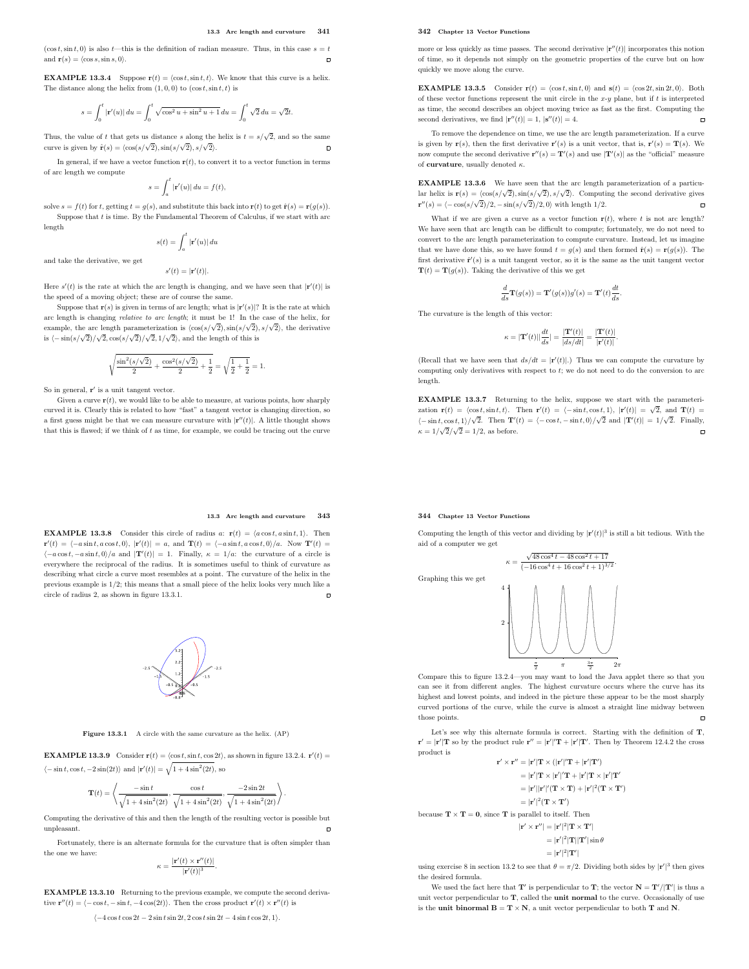$(\cos t, \sin t, 0)$  is also t—this is the definition of radian measure. Thus, in this case  $s = t$ and  $\mathbf{r}(s) = \langle \cos s, \sin s, 0 \rangle$ .  $\overline{a}$ 

**EXAMPLE 13.3.4** Suppose  $\mathbf{r}(t) = \langle \cos t, \sin t, t \rangle$ . We know that this curve is a helix. The distance along the helix from  $(1, 0, 0)$  to  $(\cos t, \sin t, t)$  is

$$
s=\int_0^t\left|\mathbf{r}'(u)\right|du=\int_0^t\sqrt{\cos^2u+\sin^2u+1}\,du=\int_0^t\sqrt{2}\,du=\sqrt{2}t.
$$

Thus, the value of t that gets us distance s along the helix is  $t = s/\sqrt{2}$ , and so the same curve is given by  $\hat{\mathbf{r}}(s) = \langle \cos(s/\sqrt{2}), \sin(s/\sqrt{2}), s/\sqrt{2} \rangle$ .  $\blacksquare$ 

In general, if we have a vector function  $\mathbf{r}(t)$ , to convert it to a vector function in terms of arc length we compute

$$
s = \int_a^t |\mathbf{r}'(u)| \, du = f(t),
$$

solve  $s = f(t)$  for t, getting  $t = g(s)$ , and substitute this back into  $\mathbf{r}(t)$  to get  $\hat{\mathbf{r}}(s) = \mathbf{r}(g(s))$ . Suppose that  $t$  is time. By the Fundamental Theorem of Calculus, if we start with arc length

$$
s(t) = \int_a^t |{\bf r}'(u)| \, du
$$

and take the derivative, we get

 $s'(t) = |\mathbf{r}'(t)|.$ Here  $s'(t)$  is the rate at which the arc length is changing, and we have seen that  $|\mathbf{r}'(t)|$  is the speed of a moving object; these are of course the same.

Suppose that  $\mathbf{r}(s)$  is given in terms of arc length; what is  $|\mathbf{r}'(s)|$ ? It is the rate at which arc length is changing relative to arc length; it must be 1! In the case of the helix, for example, the arc length parameterization is  $\langle \cos(s/\sqrt{2}), \sin(s/\sqrt{2}), s/\sqrt{2} \rangle$ , the derivative is  $\langle -\sin(s/\sqrt{2})/\sqrt{2}, \cos(s/\sqrt{2})/\sqrt{2}, 1/\sqrt{2} \rangle$ , and the length of this is

$$
\sqrt{\frac{\sin^2(s/\sqrt{2})}{2}+\frac{\cos^2(s/\sqrt{2})}{2}+\frac{1}{2}}=\sqrt{\frac{1}{2}+\frac{1}{2}}=1.
$$

So in general, r ′ is a unit tangent vector.

Given a curve  $\mathbf{r}(t)$ , we would like to be able to measure, at various points, how sharply curved it is. Clearly this is related to how "fast" a tangent vector is changing direction, so a first guess might be that we can measure curvature with  $|\mathbf{r}''(t)|$ . A little thought shows that this is flawed; if we think of  $t$  as time, for example, we could be tracing out the curve

#### 342 Chapter 13 Vector Functions

more or less quickly as time passes. The second derivative  $|\mathbf{r}''(t)|$  incorporates this notion of time, so it depends not simply on the geometric properties of the curve but on how quickly we move along the curve.

**EXAMPLE 13.3.5** Consider  $\mathbf{r}(t) = \langle \cos t, \sin t, 0 \rangle$  and  $\mathbf{s}(t) = \langle \cos 2t, \sin 2t, 0 \rangle$ . Both of these vector functions represent the unit circle in the  $x-y$  plane, but if  $t$  is interpreted as time, the second describes an object moving twice as fast as the first. Computing the  $\Box$ second derivatives, we find  $|\mathbf{r}''(t)| = 1$ ,  $|\mathbf{s}''(t)| = 4$ .

To remove the dependence on time, we use the arc length parameterization. If a curve is given by  $\mathbf{r}(s)$ , then the first derivative  $\mathbf{r}'(s)$  is a unit vector, that is,  $\mathbf{r}'(s) = \mathbf{T}(s)$ . We now compute the second derivative  $\mathbf{r}''(s) = \mathbf{T}'(s)$  and use  $|\mathbf{T}'(s)|$  as the "official" measure of curvature, usually denoted  $\kappa$ .

EXAMPLE 13.3.6 We have seen that the arc length parameterization of a particular helix is  $\mathbf{r}(s) = \langle \cos(s/\sqrt{2}), \sin(s/\sqrt{2}), s/\sqrt{2} \rangle$ . Computing the second derivative gives  $\mathbf{r}''(s) = \langle -\cos(s/\sqrt{2})/2, -\sin(s/\sqrt{2})/2, 0 \rangle$  with length 1/2.  $\Box$ 

What if we are given a curve as a vector function  $r(t)$ , where t is not arc length? We have seen that arc length can be difficult to compute; fortunately, we do not need to convert to the arc length parameterization to compute curvature. Instead, let us imagine that we have done this, so we have found  $t = g(s)$  and then formed  $\hat{\mathbf{r}}(s) = \mathbf{r}(g(s))$ . The first derivative  $\hat{\mathbf{r}}'(s)$  is a unit tangent vector, so it is the same as the unit tangent vector  $\mathbf{T}(t)=\mathbf{T}(g(s)).$  Taking the derivative of this we get

$$
\frac{d}{ds}\mathbf{T}(g(s)) = \mathbf{T}'(g(s))g'(s) = \mathbf{T}'(t)\frac{dt}{ds}.
$$

The curvature is the length of this vector:

$$
\kappa = \vert \mathbf{T}'(t) \vert \vert \frac{dt}{ds} \vert = \frac{\vert \mathbf{T}'(t) \vert}{\vert ds/dt \vert} = \frac{\vert \mathbf{T}'(t) \vert}{\vert \mathbf{r}'(t) \vert}.
$$

(Recall that we have seen that  $ds/dt = |\mathbf{r}'(t)|$ .) Thus we can compute the curvature by computing only derivatives with respect to  $t$ ; we do not need to do the conversion to arc length.

EXAMPLE 13.3.7 Returning to the helix, suppose we start with the parameterization  $\mathbf{r}(t) = \langle \cos t, \sin t, t \rangle$ . Then  $\mathbf{r}'(t) = \langle -\sin t, \cos t, 1 \rangle$ ,  $|\mathbf{r}'(t)| = \sqrt{2}$ , and  $\mathbf{T}(t) =$  $\langle -\sin t, \cos t, 1 \rangle / \sqrt{2}$ . Then  $\mathbf{T}'(t) = \langle -\cos t, -\sin t, 0 \rangle / \sqrt{2}$  and  $|\mathbf{T}'(t)| = 1/\sqrt{2}$ . Finally,  $\kappa = 1/\sqrt{2}/\sqrt{2} = 1/2$ , as before.  $\overline{a}$ 

## 344 Chapter 13 Vector Functions

Computing the length of this vector and dividing by  $|\mathbf{r}'(t)|^3$  is still a bit tedious. With the aid of a computer we get



Compare this to figure 13.2.4—you may want to load the Java applet there so that you can see it from different angles. The highest curvature occurs where the curve has its highest and lowest points, and indeed in the picture these appear to be the most sharply curved portions of the curve, while the curve is almost a straight line midway between those points.  $\blacksquare$ 

Let's see why this alternate formula is correct. Starting with the definition of T,  $\mathbf{r}' = |\mathbf{r}'| \mathbf{T}$  so by the product rule  $\mathbf{r}'' = |\mathbf{r}'|' \mathbf{T} + |\mathbf{r}'| \mathbf{T}'$ . Then by Theorem 12.4.2 the cross product is

$$
\mathbf{r}' \times \mathbf{r}'' = |\mathbf{r}'| \mathbf{T} \times (|\mathbf{r}'|' \mathbf{T} + |\mathbf{r}'| \mathbf{T}'))
$$
  
\n
$$
= |\mathbf{r}'| \mathbf{T} \times |\mathbf{r}'|' \mathbf{T} + |\mathbf{r}'| \mathbf{T} \times |\mathbf{r}'| \mathbf{T}'
$$
  
\n
$$
= |\mathbf{r}'| |\mathbf{r}'|' (\mathbf{T} \times \mathbf{T}) + |\mathbf{r}'|^2 (\mathbf{T} \times \mathbf{T}'))
$$
  
\n
$$
= |\mathbf{r}'|^2 (\mathbf{T} \times \mathbf{T}')
$$
  
\nbecause  $\mathbf{T} \times \mathbf{T} = \mathbf{0}$ , since **T** is parallel to itself. Then  
\n
$$
|\mathbf{r}' \times \mathbf{r}''| = |\mathbf{r}'|^2 |\mathbf{T} \times \mathbf{T}'|
$$
  
\n
$$
= |\mathbf{r}'|^2 |\mathbf{T}| |\mathbf{T}'| \sin \theta
$$

$$
=|\mathbf{r}'|^2|\mathbf{T}'|
$$

using exercise 8 in section 13.2 to see that  $\theta = \pi/2$ . Dividing both sides by  $|\mathbf{r}'|^3$  then gives the desired formula.

We used the fact here that  $T'$  is perpendicular to  $T$ ; the vector  $N = T'/|T'|$  is thus a unit vector perpendicular to **T**, called the **unit normal** to the curve. Occasionally of use is the unit binormal  $\mathbf{B}=\mathbf{T}\times\mathbf{N},$  a unit vector perpendicular to both  $\mathbf{T}$  and  $\mathbf{N}.$ 

#### 13.3 Arc length and curvature 343

**EXAMPLE 13.3.8** Consider this circle of radius a:  $\mathbf{r}(t) = \langle a \cos t, a \sin t, 1 \rangle$ . Then  $\mathbf{r}'(t) = \langle -a\sin t, a\cos t, 0 \rangle, |\mathbf{r}'(t)| = a, \text{ and } \mathbf{T}(t) = \langle -a\sin t, a\cos t, 0 \rangle/a. \text{ Now } \mathbf{T}'(t) =$  $\langle -a \cos t, -a \sin t, 0 \rangle/a$  and  $|\mathbf{T}'(t)| = 1$ . Finally,  $\kappa = 1/a$ : the curvature of a circle is everywhere the reciprocal of the radius. It is sometimes useful to think of curvature as describing what circle a curve most resembles at a point. The curvature of the helix in the previous example is 1/2; this means that a small piece of the helix looks very much like a circle of radius 2, as shown in figure 13.3.1.



Figure 13.3.1 A circle with the same curvature as the helix. (AP)

**EXAMPLE 13.3.9** Consider  $\mathbf{r}(t) = \langle \cos t, \sin t, \cos 2t \rangle$ , as shown in figure 13.2.4.  $\mathbf{r}'(t) =$  $\langle -\sin t, \cos t, -2\sin(2t)\rangle$  and  $|\mathbf{r}'(t)| = \sqrt{1 + 4\sin^2(2t)}$ , so

$$
\mathbf{T}(t) = \left\langle \frac{-\sin t}{\sqrt{1 + 4\sin^2(2t)}}, \frac{\cos t}{\sqrt{1 + 4\sin^2(2t)}}, \frac{-2\sin 2t}{\sqrt{1 + 4\sin^2(2t)}} \right\rangle.
$$

Computing the derivative of this and then the length of the resulting vector is possible but unpleasant.  $\mathbf{r}$ 

Fortunately, there is an alternate formula for the curvature that is often simpler than the one we have:

$$
\kappa = \frac{|\mathbf{r}'(t) \times \mathbf{r}''(t)|}{|\mathbf{r}'(t)|^3}.
$$

EXAMPLE 13.3.10 Returning to the previous example, we compute the second derivative  $\mathbf{r}''(t) = \langle -\cos t, -\sin t, -4\cos(2t) \rangle$ . Then the cross product  $\mathbf{r}'(t) \times \mathbf{r}''(t)$  is

 $\langle -4\cos t \cos 2t - 2\sin t \sin 2t, 2\cos t \sin 2t - 4\sin t \cos 2t, 1 \rangle.$